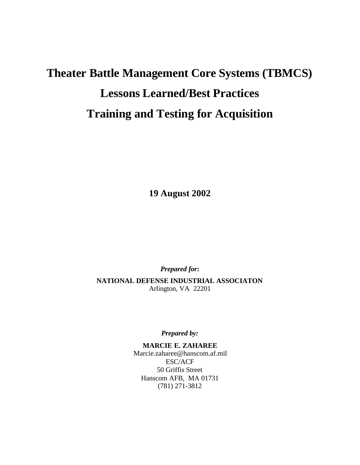# **Theater Battle Management Core Systems (TBMCS) Lessons Learned/Best Practices Training and Testing for Acquisition**

**19 August 2002**

*Prepared for***:**

**NATIONAL DEFENSE INDUSTRIAL ASSOCIATON** Arlington, VA 22201

*Prepared by:*

**MARCIE E. ZAHAREE** Marcie.zaharee@hanscom.af.mil ESC/ACF 50 Griffis Street Hanscom AFB, MA 01731 (781) 271-3812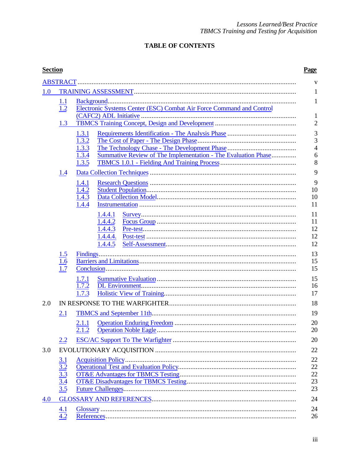# **TABLE OF CONTENTS**

| <b>Section</b> |                                                             |                                                                                                            | Page                                            |  |  |  |
|----------------|-------------------------------------------------------------|------------------------------------------------------------------------------------------------------------|-------------------------------------------------|--|--|--|
|                |                                                             |                                                                                                            | V                                               |  |  |  |
| 1.0            |                                                             |                                                                                                            |                                                 |  |  |  |
|                | 1.1<br>$\overline{1.2}$                                     | Electronic Systems Center (ESC) Combat Air Force Command and Control                                       | 1                                               |  |  |  |
|                | 1.3                                                         |                                                                                                            | 1<br>$\overline{2}$                             |  |  |  |
|                |                                                             | 1.3.1<br>1.3.2<br>1.3.3<br>1.3.4<br>Summative Review of The Implementation - The Evaluation Phase<br>1.3.5 | 3<br>$\overline{3}$<br>$\overline{4}$<br>6<br>8 |  |  |  |
|                | 1.4                                                         |                                                                                                            | 9                                               |  |  |  |
|                |                                                             | 1.4.1<br>1.4.2<br>1.4.3<br>1.4.4                                                                           | 9<br>10<br>10<br>11                             |  |  |  |
|                |                                                             | 1.4.4.1<br>1.4.4.2<br>1.4.4.3<br>1.4.4.4.<br>1.4.4.5                                                       | 11<br>11<br>12<br>12<br>12                      |  |  |  |
|                | 1.5<br>$\overline{1.6}$<br>1.7                              |                                                                                                            | 13<br>15<br>15                                  |  |  |  |
|                |                                                             | 1.7.1<br>1.7.2<br>1.7.3                                                                                    | 15<br>16<br>17                                  |  |  |  |
| 2.0            |                                                             |                                                                                                            | 18                                              |  |  |  |
|                | 2.1                                                         |                                                                                                            | 19                                              |  |  |  |
|                |                                                             | 2.1.1<br>2.1.2                                                                                             | 20<br>20                                        |  |  |  |
|                | 2.2                                                         |                                                                                                            | 20                                              |  |  |  |
| 3.0            |                                                             |                                                                                                            | 22                                              |  |  |  |
|                | $\frac{3.1}{3.2}$<br>$\frac{3.3}{3.4}$<br>$\frac{3.4}{3.5}$ |                                                                                                            | 22<br>22<br>22<br>23<br>23                      |  |  |  |
| 4.0            |                                                             |                                                                                                            | 24                                              |  |  |  |
|                | $\underline{4.1}$<br>$\overline{4.2}$                       |                                                                                                            | 24<br>26                                        |  |  |  |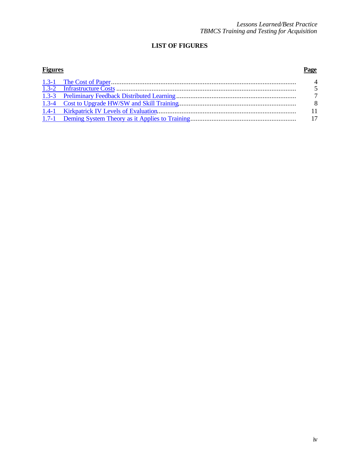# **LIST OF FIGURES**

# **Figures Page** 1.3-1 The Cost of Paper......................................................................................................... 4

|  | $\overline{5}$ |
|--|----------------|
|  |                |
|  | - 8            |
|  |                |
|  |                |
|  |                |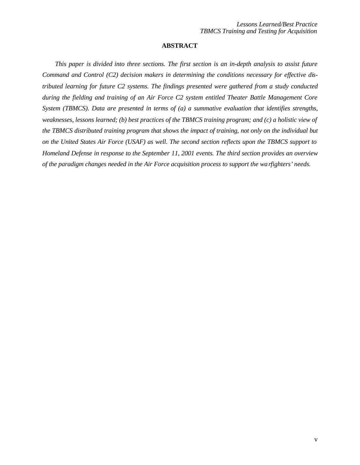### **ABSTRACT**

*This paper is divided into three sections. The first section is an in-depth analysis to assist future Command and Control (C2) decision makers in determining the conditions necessary for effective distributed learning for future C2 systems. The findings presented were gathered from a study conducted during the fielding and training of an Air Force C2 system entitled Theater Battle Management Core System (TBMCS). Data are presented in terms of (a) a summative evaluation that identifies strengths, weaknesses, lessons learned; (b) best practices of the TBMCS training program; and (c) a holistic view of the TBMCS distributed training program that shows the impact of training, not only on the individual but on the United States Air Force (USAF) as well. The second section reflects upon the TBMCS support to Homeland Defense in response to the September 11, 2001 events. The third section provides an overview of the paradigm changes needed in the Air Force acquisition process to support the warfighters' needs.*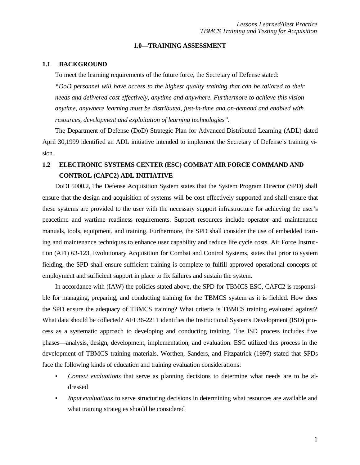### **1.0—TRAINING ASSESSMENT**

### **1.1 BACKGROUND**

To meet the learning requirements of the future force, the Secretary of Defense stated:

*"DoD personnel will have access to the highest quality training that can be tailored to their needs and delivered cost effectively, anytime and anywhere. Furthermore to achieve this vision anytime, anywhere learning must be distributed, just-in-time and on-demand and enabled with resources, development and exploitation of learning technologies".*

The Department of Defense (DoD) Strategic Plan for Advanced Distributed Learning (ADL) dated April 30,1999 identified an ADL initiative intended to implement the Secretary of Defense's training vision.

# **1.2 ELECTRONIC SYSTEMS CENTER (ESC) COMBAT AIR FORCE COMMAND AND CONTROL (CAFC2) ADL INITIATIVE**

DoDI 5000.2, The Defense Acquisition System states that the System Program Director (SPD) shall ensure that the design and acquisition of systems will be cost effectively supported and shall ensure that these systems are provided to the user with the necessary support infrastructure for achieving the user's peacetime and wartime readiness requirements. Support resources include operator and maintenance manuals, tools, equipment, and training. Furthermore, the SPD shall consider the use of embedded training and maintenance techniques to enhance user capability and reduce life cycle costs. Air Force Instruction (AFI) 63-123, Evolutionary Acquisition for Combat and Control Systems, states that prior to system fielding, the SPD shall ensure sufficient training is complete to fulfill approved operational concepts of employment and sufficient support in place to fix failures and sustain the system.

In accordance with (IAW) the policies stated above, the SPD for TBMCS ESC, CAFC2 is responsible for managing, preparing, and conducting training for the TBMCS system as it is fielded. How does the SPD ensure the adequacy of TBMCS training? What criteria is TBMCS training evaluated against? What data should be collected? AFI 36-2211 identifies the Instructional Systems Development (ISD) process as a systematic approach to developing and conducting training. The ISD process includes five phases—analysis, design, development, implementation, and evaluation. ESC utilized this process in the development of TBMCS training materials. Worthen, Sanders, and Fitzpatrick (1997) stated that SPDs face the following kinds of education and training evaluation considerations:

- *Context evaluations* that serve as planning decisions to determine what needs are to be addressed
- *Input evaluations* to serve structuring decisions in determining what resources are available and what training strategies should be considered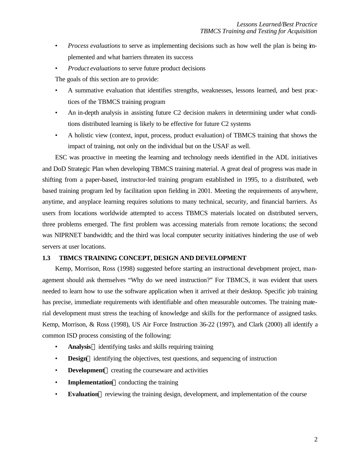- *Process evaluations* to serve as implementing decisions such as how well the plan is being implemented and what barriers threaten its success
- *Product evaluations* to serve future product decisions

The goals of this section are to provide:

- A summative evaluation that identifies strengths, weaknesses, lessons learned, and best practices of the TBMCS training program
- An in-depth analysis in assisting future C2 decision makers in determining under what conditions distributed learning is likely to be effective for future C2 systems
- A holistic view (context, input, process, product evaluation) of TBMCS training that shows the impact of training, not only on the individual but on the USAF as well.

ESC was proactive in meeting the learning and technology needs identified in the ADL initiatives and DoD Strategic Plan when developing TBMCS training material. A great deal of progress was made in shifting from a paper-based, instructor-led training program established in 1995, to a distributed, web based training program led by facilitation upon fielding in 2001. Meeting the requirements of anywhere, anytime, and anyplace learning requires solutions to many technical, security, and financial barriers. As users from locations worldwide attempted to access TBMCS materials located on distributed servers, three problems emerged. The first problem was accessing materials from remote locations; the second was NIPRNET bandwidth; and the third was local computer security initiatives hindering the use of web servers at user locations.

### **1.3 TBMCS TRAINING CONCEPT, DESIGN AND DEVELOPMENT**

Kemp, Morrison, Ross (1998) suggested before starting an instructional development project, management should ask themselves "Why do we need instruction?" For TBMCS, it was evident that users needed to learn how to use the software application when it arrived at their desktop. Specific job training has precise, immediate requirements with identifiable and often measurable outcomes. The training material development must stress the teaching of knowledge and skills for the performance of assigned tasks. Kemp, Morrison, & Ross (1998), US Air Force Instruction 36-22 (1997), and Clark (2000) all identify a common ISD process consisting of the following:

- **Analysis**<sup>3</sup>/4 identifying tasks and skills requiring training
- **Design<sup>3</sup>**⁄4 identifying the objectives, test questions, and sequencing of instruction
- **Development<sup>3</sup>**⁄4 creating the courseware and activities
- **Implementation**<sup>3</sup>⁄4 conducting the training
- **Evaluation<sup>3</sup>/**4 reviewing the training design, development, and implementation of the course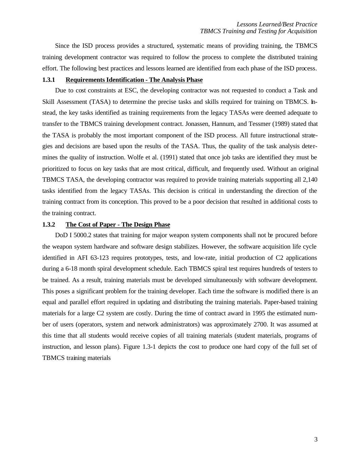Since the ISD process provides a structured, systematic means of providing training, the TBMCS training development contractor was required to follow the process to complete the distributed training effort. The following best practices and lessons learned are identified from each phase of the ISD process.

### **1.3.1 Requirements Identification - The Analysis Phase**

Due to cost constraints at ESC, the developing contractor was not requested to conduct a Task and Skill Assessment (TASA) to determine the precise tasks and skills required for training on TBMCS. Instead, the key tasks identified as training requirements from the legacy TASAs were deemed adequate to transfer to the TBMCS training development contract. Jonassen, Hannum, and Tessmer (1989) stated that the TASA is probably the most important component of the ISD process. All future instructional strategies and decisions are based upon the results of the TASA. Thus, the quality of the task analysis determines the quality of instruction. Wolfe et al. (1991) stated that once job tasks are identified they must be prioritized to focus on key tasks that are most critical, difficult, and frequently used. Without an original TBMCS TASA, the developing contractor was required to provide training materials supporting all 2,140 tasks identified from the legacy TASAs. This decision is critical in understanding the direction of the training contract from its conception. This proved to be a poor decision that resulted in additional costs to the training contract.

#### **1.3.2 The Cost of Paper - The Design Phase**

DoD I 5000.2 states that training for major weapon system components shall not be procured before the weapon system hardware and software design stabilizes. However, the software acquisition life cycle identified in AFI 63-123 requires prototypes, tests, and low-rate, initial production of C2 applications during a 6-18 month spiral development schedule. Each TBMCS spiral test requires hundreds of testers to be trained. As a result, training materials must be developed simultaneously with software development. This poses a significant problem for the training developer. Each time the software is modified there is an equal and parallel effort required in updating and distributing the training materials. Paper-based training materials for a large C2 system are costly. During the time of contract award in 1995 the estimated number of users (operators, system and network administrators) was approximately 2700. It was assumed at this time that all students would receive copies of all training materials (student materials, programs of instruction, and lesson plans). Figure 1.3-1 depicts the cost to produce one hard copy of the full set of TBMCS training materials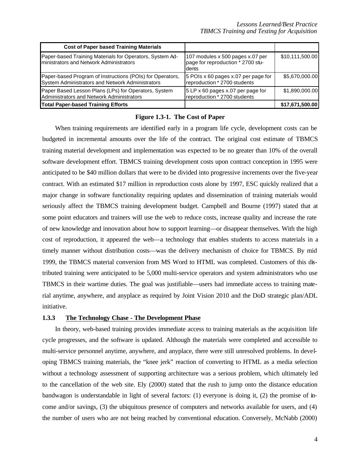| <b>Cost of Paper based Training Materials</b>                                                                 |                                                                                |                 |
|---------------------------------------------------------------------------------------------------------------|--------------------------------------------------------------------------------|-----------------|
| Paper-based Training Materials for Operators, System Ad-<br>Iministrators and Network Administrators          | 107 modules x 500 pages x.07 per<br>page for reproduction * 2700 stu-<br>dents | \$10,111,500.00 |
| Paper-based Program of Instructions (POIs) for Operators,<br>System Administrators and Network Administrators | 5 POIs x 60 pages x.07 per page for<br>reproduction * 2700 students            | \$5,670,000,00  |
| Paper Based Lesson Plans (LPs) for Operators, System<br>Administrators and Network Administrators             | 5 LP x 60 pages x.07 per page for<br>reproduction * 2700 students              | \$1.890,000,00  |
| <b>Total Paper-based Training Efforts</b>                                                                     |                                                                                | \$17,671,500.00 |

### **Figure 1.3-1. The Cost of Paper**

When training requirements are identified early in a program life cycle, development costs can be budgeted in incremental amounts over the life of the contract. The original cost estimate of TBMCS training material development and implementation was expected to be no greater than 10% of the overall software development effort. TBMCS training development costs upon contract conception in 1995 were anticipated to be \$40 million dollars that were to be divided into progressive increments over the five-year contract. With an estimated \$17 million in reproduction costs alone by 1997, ESC quickly realized that a major change in software functionality requiring updates and dissemination of training materials would seriously affect the TBMCS training development budget. Campbell and Bourne (1997) stated that at some point educators and trainers will use the web to reduce costs, increase quality and increase the rate of new knowledge and innovation about how to support learning—or disappear themselves. With the high cost of reproduction, it appeared the web—a technology that enables students to access materials in a timely manner without distribution costs—was the delivery mechanism of choice for TBMCS. By mid 1999, the TBMCS material conversion from MS Word to HTML was completed. Customers of this distributed training were anticipated to be 5,000 multi-service operators and system administrators who use TBMCS in their wartime duties. The goal was justifiable—users had immediate access to training material anytime, anywhere, and anyplace as required by Joint Vision 2010 and the DoD strategic plan/ADL initiative.

# **1.3.3 The Technology Chase - The Development Phase**

In theory, web-based training provides immediate access to training materials as the acquisition life cycle progresses, and the software is updated. Although the materials were completed and accessible to multi-service personnel anytime, anywhere, and anyplace, there were still unresolved problems. In developing TBMCS training materials, the "knee jerk" reaction of converting to HTML as a media selection without a technology assessment of supporting architecture was a serious problem, which ultimately led to the cancellation of the web site. Ely (2000) stated that the rush to jump onto the distance education bandwagon is understandable in light of several factors: (1) everyone is doing it, (2) the promise of income and/or savings, (3) the ubiquitous presence of computers and networks available for users, and (4) the number of users who are not being reached by conventional education. Conversely, McNabb (2000)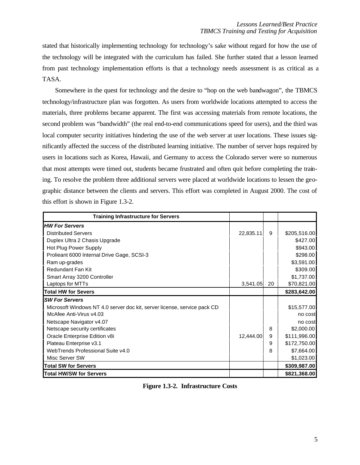stated that historically implementing technology for technology's sake without regard for how the use of the technology will be integrated with the curriculum has failed. She further stated that a lesson learned from past technology implementation efforts is that a technology needs assessment is as critical as a TASA.

Somewhere in the quest for technology and the desire to "hop on the web bandwagon", the TBMCS technology/infrastructure plan was forgotten. As users from worldwide locations attempted to access the materials, three problems became apparent. The first was accessing materials from remote locations, the second problem was "bandwidth" (the real end-to-end communications speed for users), and the third was local computer security initiatives hindering the use of the web server at user locations. These issues significantly affected the success of the distributed learning initiative. The number of server hops required by users in locations such as Korea, Hawaii, and Germany to access the Colorado server were so numerous that most attempts were timed out, students became frustrated and often quit before completing the training. To resolve the problem three additional servers were placed at worldwide locations to lessen the geographic distance between the clients and servers. This effort was completed in August 2000. The cost of this effort is shown in Figure 1.3-2.

| <b>Training Infrastructure for Servers</b>                               |           |    |              |
|--------------------------------------------------------------------------|-----------|----|--------------|
| <b>HW For Servers</b>                                                    |           |    |              |
| <b>Distributed Servers</b>                                               | 22,835.11 | 9  | \$205,516.00 |
| Duplex Ultra 2 Chasis Upgrade                                            |           |    | \$427.00     |
| Hot Plug Power Supply                                                    |           |    | \$943.00     |
| Prolieant 6000 Internal Drive Gage, SCSI-3                               |           |    | \$298.00     |
| Ram up-grades                                                            |           |    | \$3,591.00   |
| Redundant Fan Kit                                                        |           |    | \$309.00     |
| Smart Array 3200 Controller                                              |           |    | \$1,737.00   |
| Laptops for MTTs                                                         | 3,541.05  | 20 | \$70,821.00  |
| <b>Total HW for Severs</b>                                               |           |    | \$283,642.00 |
| <b>SW For Servers</b>                                                    |           |    |              |
| Microsoft Windows NT 4.0 server doc kit, server license, service pack CD |           |    | \$15,577.00  |
| McAfee Anti-Virus v4.03                                                  |           |    | no cost      |
| Netscape Navigator v4.07                                                 |           |    | no cost      |
| Netscape security certificates                                           |           | 8  | \$2,000.00   |
| Oracle Enterprise Edition v8i                                            | 12,444.00 | 9  | \$111,996.00 |
| Plateau Enterprise v3.1                                                  |           | 9  | \$172,750.00 |
| WebTrends Professional Suite v4.0                                        |           | 8  | \$7,664.00   |
| Misc Server SW                                                           |           |    | \$1,023.00   |
| <b>Total SW for Servers</b>                                              |           |    | \$309,987.00 |
| <b>Total HW/SW for Servers</b>                                           |           |    | \$821,368.00 |

**Figure 1.3-2. Infrastructure Costs**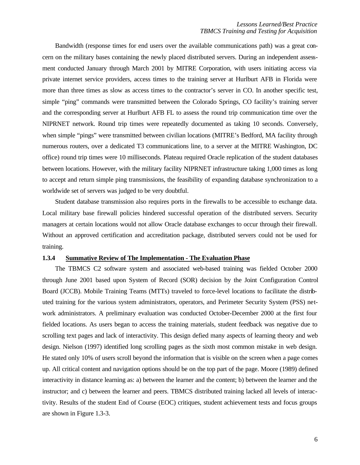Bandwidth (response times for end users over the available communications path) was a great concern on the military bases containing the newly placed distributed servers. During an independent assessment conducted January through March 2001 by MITRE Corporation, with users initiating access via private internet service providers, access times to the training server at Hurlburt AFB in Florida were more than three times as slow as access times to the contractor's server in CO. In another specific test, simple "ping" commands were transmitted between the Colorado Springs, CO facility's training server and the corresponding server at Hurlburt AFB FL to assess the round trip communication time over the NIPRNET network. Round trip times were repeatedly documented as taking 10 seconds. Conversely, when simple "pings" were transmitted between civilian locations (MITRE's Bedford, MA facility through numerous routers, over a dedicated T3 communications line, to a server at the MITRE Washington, DC office) round trip times were 10 milliseconds. Plateau required Oracle replication of the student databases between locations. However, with the military facility NIPRNET infrastructure taking 1,000 times as long to accept and return simple ping transmissions, the feasibility of expanding database synchronization to a worldwide set of servers was judged to be very doubtful.

Student database transmission also requires ports in the firewalls to be accessible to exchange data. Local military base firewall policies hindered successful operation of the distributed servers. Security managers at certain locations would not allow Oracle database exchanges to occur through their firewall. Without an approved certification and accreditation package, distributed servers could not be used for training.

### **1.3.4 Summative Review of The Implementation - The Evaluation Phase**

The TBMCS C2 software system and associated web-based training was fielded October 2000 through June 2001 based upon System of Record (SOR) decision by the Joint Configuration Control Board (JCCB). Mobile Training Teams (MTTs) traveled to force-level locations to facilitate the distributed training for the various system administrators, operators, and Perimeter Security System (PSS) network administrators. A preliminary evaluation was conducted October-December 2000 at the first four fielded locations. As users began to access the training materials, student feedback was negative due to scrolling text pages and lack of interactivity. This design defied many aspects of learning theory and web design. Nielson (1997) identified long scrolling pages as the sixth most common mistake in web design. He stated only 10% of users scroll beyond the information that is visible on the screen when a page comes up. All critical content and navigation options should be on the top part of the page. Moore (1989) defined interactivity in distance learning as: a) between the learner and the content; b) between the learner and the instructor; and c) between the learner and peers. TBMCS distributed training lacked all levels of interactivity. Results of the student End of Course (EOC) critiques, student achievement tests and focus groups are shown in Figure 1.3-3.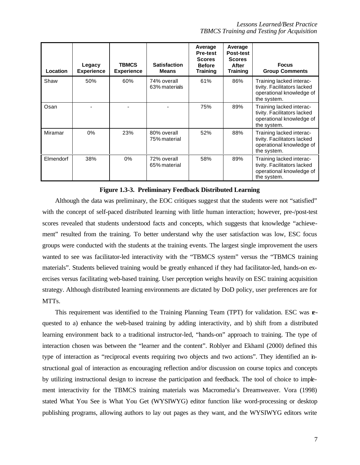| Location  | Legacy<br><b>Experience</b> | <b>TBMCS</b><br><b>Experience</b> | <b>Satisfaction</b><br><b>Means</b> | Average<br><b>Pre-test</b><br><b>Scores</b><br><b>Before</b><br><b>Training</b> | Average<br><b>Post-test</b><br><b>Scores</b><br>After<br><b>Training</b> | <b>Focus</b><br><b>Group Comments</b>                                                              |
|-----------|-----------------------------|-----------------------------------|-------------------------------------|---------------------------------------------------------------------------------|--------------------------------------------------------------------------|----------------------------------------------------------------------------------------------------|
| Shaw      | 50%                         | 60%                               | 74% overall<br>63% materials        | 61%                                                                             | 86%                                                                      | Training lacked interac-<br>tivity. Facilitators lacked<br>operational knowledge of<br>the system. |
| Osan      |                             |                                   |                                     | 75%                                                                             | 89%                                                                      | Training lacked interac-<br>tivity. Facilitators lacked<br>operational knowledge of<br>the system. |
| Miramar   | 0%                          | 23%                               | 80% overall<br>75% material         | 52%                                                                             | 88%                                                                      | Training lacked interac-<br>tivity. Facilitators lacked<br>operational knowledge of<br>the system. |
| Elmendorf | 38%                         | 0%                                | 72% overall<br>65% material         | 58%                                                                             | 89%                                                                      | Training lacked interac-<br>tivity. Facilitators lacked<br>operational knowledge of<br>the system. |

### **Figure 1.3-3. Preliminary Feedback Distributed Learning**

Although the data was preliminary, the EOC critiques suggest that the students were not "satisfied" with the concept of self-paced distributed learning with little human interaction; however, pre-/post-test scores revealed that students understood facts and concepts, which suggests that knowledge "achievement" resulted from the training. To better understand why the user satisfaction was low, ESC focus groups were conducted with the students at the training events. The largest single improvement the users wanted to see was facilitator-led interactivity with the "TBMCS system" versus the "TBMCS training materials". Students believed training would be greatly enhanced if they had facilitator-led, hands-on exercises versus facilitating web-based training. User perception weighs heavily on ESC training acquisition strategy. Although distributed learning environments are dictated by DoD policy, user preferences are for MTTs.

This requirement was identified to the Training Planning Team (TPT) for validation. ESC was requested to a) enhance the web-based training by adding interactivity, and b) shift from a distributed learning environment back to a traditional instructor-led, "hands-on" approach to training. The type of interaction chosen was between the "learner and the content". Roblyer and Ekhaml (2000) defined this type of interaction as "reciprocal events requiring two objects and two actions". They identified an instructional goal of interaction as encouraging reflection and/or discussion on course topics and concepts by utilizing instructional design to increase the participation and feedback. The tool of choice to implement interactivity for the TBMCS training materials was Macromedia's Dreamweaver. Vora (1998) stated What You See is What You Get (WYSIWYG) editor function like word-processing or desktop publishing programs, allowing authors to lay out pages as they want, and the WYSIWYG editors write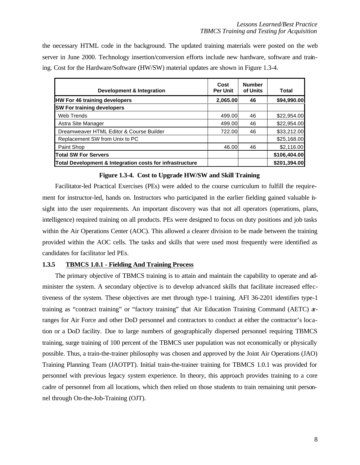the necessary HTML code in the background. The updated training materials were posted on the web server in June 2000. Technology insertion/conversion efforts include new hardware, software and training. Cost for the Hardware/Software (HW/SW) material updates are shown in Figure 1.3-4.

| Development & Integration                                | Cost<br><b>Per Unit</b> | <b>Number</b><br>of Units | Total        |
|----------------------------------------------------------|-------------------------|---------------------------|--------------|
| <b>HW For 46 training developers</b>                     | 2,065.00                | 46                        | \$94,990.00  |
| <b>SW For training developers</b>                        |                         |                           |              |
| Web Trends                                               | 499.00                  | 46                        | \$22,954.00  |
| Astra Site Manager                                       | 499.00                  | 46                        | \$22,954.00  |
| Dreamweaver HTML Editor & Course Builder                 | 722.00                  | 46                        | \$33,212.00  |
| Replacement SW from Unix to PC                           |                         |                           | \$25,168.00  |
| Paint Shop                                               | 46.00                   | 46                        | \$2,116.00   |
| <b>Total SW For Servers</b>                              |                         |                           | \$106,404.00 |
| Total Development & Integration costs for infrastructure |                         |                           | \$201,394.00 |

### **Figure 1.3-4. Cost to Upgrade HW/SW and Skill Training**

Facilitator-led Practical Exercises (PEs) were added to the course curriculum to fulfill the requirement for instructor-led, hands on. Instructors who participated in the earlier fielding gained valuable insight into the user requirements. An important discovery was that not all operators (operations, plans, intelligence) required training on all products. PEs were designed to focus on duty positions and job tasks within the Air Operations Center (AOC). This allowed a clearer division to be made between the training provided within the AOC cells. The tasks and skills that were used most frequently were identified as candidates for facilitator led PEs.

### **1.3.5 TBMCS 1.0.1 - Fielding And Training Process**

The primary objective of TBMCS training is to attain and maintain the capability to operate and administer the system. A secondary objective is to develop advanced skills that facilitate increased effectiveness of the system. These objectives are met through type-1 training. AFI 36-2201 identifies type-1 training as "contract training" or "factory training" that Air Education Training Command (AETC) arranges for Air Force and other DoD personnel and contractors to conduct at either the contractor's location or a DoD facility. Due to large numbers of geographically dispersed personnel requiring TBMCS training, surge training of 100 percent of the TBMCS user population was not economically or physically possible. Thus, a train-the-trainer philosophy was chosen and approved by the Joint Air Operations (JAO) Training Planning Team (JAOTPT). Initial train-the-trainer training for TBMCS 1.0.1 was provided for personnel with previous legacy system experience. In theory, this approach provides training to a core cadre of personnel from all locations, which then relied on those students to train remaining unit personnel through On-the-Job-Training (OJT).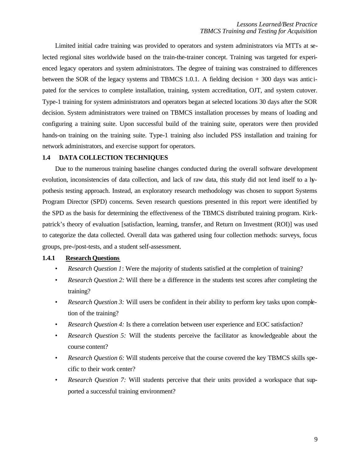Limited initial cadre training was provided to operators and system administrators via MTTs at selected regional sites worldwide based on the train-the-trainer concept. Training was targeted for experienced legacy operators and system administrators. The degree of training was constrained to differences between the SOR of the legacy systems and TBMCS 1.0.1. A fielding decision + 300 days was antic ipated for the services to complete installation, training, system accreditation, OJT, and system cutover. Type-1 training for system administrators and operators began at selected locations 30 days after the SOR decision. System administrators were trained on TBMCS installation processes by means of loading and configuring a training suite. Upon successful build of the training suite, operators were then provided hands-on training on the training suite. Type-1 training also included PSS installation and training for network administrators, and exercise support for operators.

#### **1.4 DATA COLLECTION TECHNIQUES**

Due to the numerous training baseline changes conducted during the overall software development evolution, inconsistencies of data collection, and lack of raw data, this study did not lend itself to a hypothesis testing approach. Instead, an exploratory research methodology was chosen to support Systems Program Director (SPD) concerns. Seven research questions presented in this report were identified by the SPD as the basis for determining the effectiveness of the TBMCS distributed training program. Kirkpatrick's theory of evaluation [satisfaction, learning, transfer, and Return on Investment (ROI)] was used to categorize the data collected. Overall data was gathered using four collection methods: surveys, focus groups, pre-/post-tests, and a student self-assessment.

### **1.4.1 Research Questions**

- *Research Question 1*: Were the majority of students satisfied at the completion of training?
- *Research Question 2:* Will there be a difference in the students test scores after completing the training?
- *Research Question 3:* Will users be confident in their ability to perform key tasks upon completion of the training?
- *Research Question 4:* Is there a correlation between user experience and EOC satisfaction?
- *Research Question 5:* Will the students perceive the facilitator as knowledgeable about the course content?
- *Research Question 6:* Will students perceive that the course covered the key TBMCS skills specific to their work center?
- *Research Question 7:* Will students perceive that their units provided a workspace that supported a successful training environment?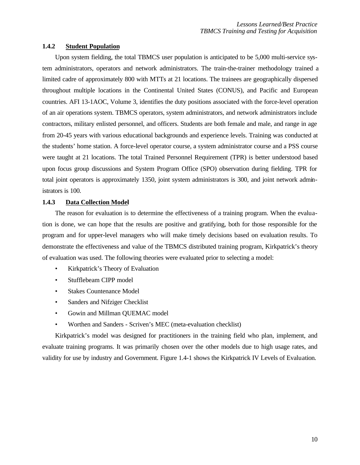### **1.4.2 Student Population**

Upon system fielding, the total TBMCS user population is anticipated to be 5,000 multi-service system administrators, operators and network administrators. The train-the-trainer methodology trained a limited cadre of approximately 800 with MTTs at 21 locations. The trainees are geographically dispersed throughout multiple locations in the Continental United States (CONUS), and Pacific and European countries. AFI 13-1AOC, Volume 3, identifies the duty positions associated with the force-level operation of an air operations system. TBMCS operators, system administrators, and network administrators include contractors, military enlisted personnel, and officers. Students are both female and male, and range in age from 20-45 years with various educational backgrounds and experience levels. Training was conducted at the students' home station. A force-level operator course, a system administrator course and a PSS course were taught at 21 locations. The total Trained Personnel Requirement (TPR) is better understood based upon focus group discussions and System Program Office (SPO) observation during fielding. TPR for total joint operators is approximately 1350, joint system administrators is 300, and joint network administrators is 100.

### **1.4.3 Data Collection Model**

The reason for evaluation is to determine the effectiveness of a training program. When the evaluation is done, we can hope that the results are positive and gratifying, both for those responsible for the program and for upper-level managers who will make timely decisions based on evaluation results. To demonstrate the effectiveness and value of the TBMCS distributed training program, Kirkpatrick's theory of evaluation was used. The following theories were evaluated prior to selecting a model:

- Kirkpatrick's Theory of Evaluation
- Stufflebeam CIPP model
- Stakes Countenance Model
- Sanders and Nifziger Checklist
- Gowin and Millman QUEMAC model
- Worthen and Sanders Scriven's MEC (meta-evaluation checklist)

Kirkpatrick's model was designed for practitioners in the training field who plan, implement, and evaluate training programs. It was primarily chosen over the other models due to high usage rates, and validity for use by industry and Government. Figure 1.4-1 shows the Kirkpatrick IV Levels of Evaluation.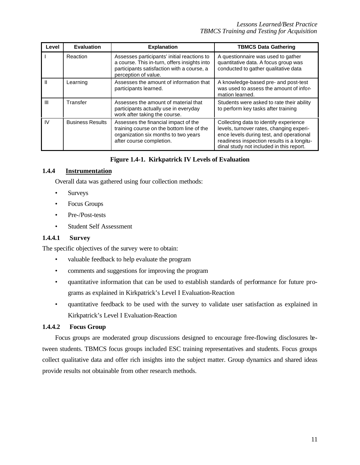| Level          | <b>Evaluation</b>       | <b>Explanation</b><br><b>TBMCS Data Gathering</b>                                                                                                                 |                                                                                                                                                                                                                          |
|----------------|-------------------------|-------------------------------------------------------------------------------------------------------------------------------------------------------------------|--------------------------------------------------------------------------------------------------------------------------------------------------------------------------------------------------------------------------|
|                | Reaction                | Assesses participants' initial reactions to<br>a course. This in-turn, offers insights into<br>participants satisfaction with a course, a<br>perception of value. | A questionnaire was used to gather<br>quantitative data. A focus group was<br>conducted to gather qualitative data                                                                                                       |
| $\mathbf{I}$   | Learning                | Assesses the amount of information that<br>participants learned.                                                                                                  | A knowledge-based pre- and post-test<br>was used to assess the amount of infor-<br>mation learned.                                                                                                                       |
| $\mathbf{III}$ | Transfer                | Assesses the amount of material that<br>participants actually use in everyday<br>work after taking the course.                                                    | Students were asked to rate their ability<br>to perform key tasks after training                                                                                                                                         |
| IV.            | <b>Business Results</b> | Assesses the financial impact of the<br>training course on the bottom line of the<br>organization six months to two years<br>after course completion.             | Collecting data to identify experience<br>levels, turnover rates, changing experi-<br>ence levels during test, and operational<br>readiness inspection results is a longitu-<br>dinal study not included in this report. |

# **Figure 1.4-1. Kirkpatrick IV Levels of Evaluation**

# **1.4.4 Instrumentation**

Overall data was gathered using four collection methods:

- Surveys
- Focus Groups
- Pre-/Post-tests
- Student Self Assessment

### **1.4.4.1 Survey**

The specific objectives of the survey were to obtain:

- valuable feedback to help evaluate the program
- comments and suggestions for improving the program
- quantitative information that can be used to establish standards of performance for future programs as explained in Kirkpatrick's Level I Evaluation-Reaction
- quantitative feedback to be used with the survey to validate user satisfaction as explained in Kirkpatrick's Level I Evaluation-Reaction

# **1.4.4.2 Focus Group**

Focus groups are moderated group discussions designed to encourage free-flowing disclosures between students. TBMCS focus groups included ESC training representatives and students. Focus groups collect qualitative data and offer rich insights into the subject matter. Group dynamics and shared ideas provide results not obtainable from other research methods.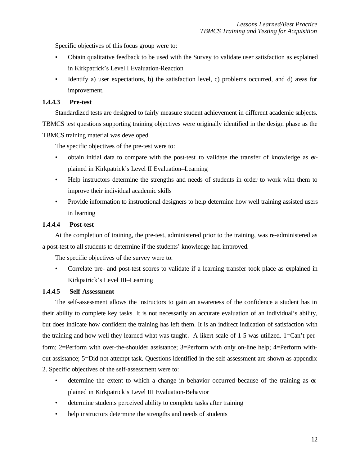Specific objectives of this focus group were to:

- Obtain qualitative feedback to be used with the Survey to validate user satisfaction as explained in Kirkpatrick's Level I Evaluation-Reaction
- Identify a) user expectations, b) the satisfaction level, c) problems occurred, and d) areas for improvement.

# **1.4.4.3 Pre-test**

Standardized tests are designed to fairly measure student achievement in different academic subjects. TBMCS test questions supporting training objectives were originally identified in the design phase as the TBMCS training material was developed.

The specific objectives of the pre-test were to:

- obtain initial data to compare with the post-test to validate the transfer of knowledge as explained in Kirkpatrick's Level II Evaluation–Learning
- Help instructors determine the strengths and needs of students in order to work with them to improve their individual academic skills
- Provide information to instructional designers to help determine how well training assisted users in learning

# **1.4.4.4 Post-test**

At the completion of training, the pre-test, administered prior to the training, was re-administered as a post-test to all students to determine if the students' knowledge had improved.

The specific objectives of the survey were to:

• Correlate pre- and post-test scores to validate if a learning transfer took place as explained in Kirkpatrick's Level III–Learning

### **1.4.4.5 Self-Assessment**

The self-assessment allows the instructors to gain an awareness of the confidence a student has in their ability to complete key tasks. It is not necessarily an accurate evaluation of an individual's ability, but does indicate how confident the training has left them. It is an indirect indication of satisfaction with the training and how well they learned what was taught. A likert scale of 1-5 was utilized. 1=Can't perform; 2=Perform with over-the-shoulder assistance; 3=Perform with only on-line help; 4=Perform without assistance; 5=Did not attempt task. Questions identified in the self-assessment are shown as appendix 2. Specific objectives of the self-assessment were to:

- determine the extent to which a change in behavior occurred because of the training as  $\alpha$ plained in Kirkpatrick's Level III Evaluation-Behavior
- determine students perceived ability to complete tasks after training
- help instructors determine the strengths and needs of students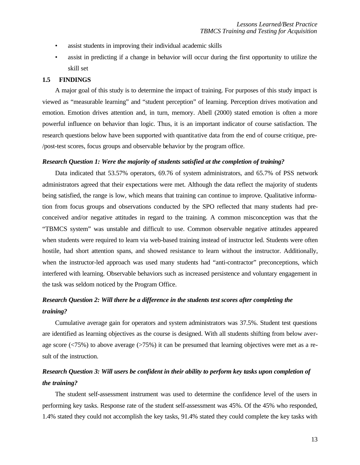- assist students in improving their individual academic skills
- assist in predicting if a change in behavior will occur during the first opportunity to utilize the skill set

### **1.5 FINDINGS**

A major goal of this study is to determine the impact of training. For purposes of this study impact is viewed as "measurable learning" and "student perception" of learning. Perception drives motivation and emotion. Emotion drives attention and, in turn, memory. Abell (2000) stated emotion is often a more powerful influence on behavior than logic. Thus, it is an important indicator of course satisfaction. The research questions below have been supported with quantitative data from the end of course critique, pre- /post-test scores, focus groups and observable behavior by the program office.

### *Research Question 1: Were the majority of students satisfied at the completion of training?*

Data indicated that 53.57% operators, 69.76 of system administrators, and 65.7% of PSS network administrators agreed that their expectations were met. Although the data reflect the majority of students being satisfied, the range is low, which means that training can continue to improve. Qualitative information from focus groups and observations conducted by the SPO reflected that many students had preconceived and/or negative attitudes in regard to the training. A common misconception was that the "TBMCS system" was unstable and difficult to use. Common observable negative attitudes appeared when students were required to learn via web-based training instead of instructor led. Students were often hostile, had short attention spans, and showed resistance to learn without the instructor. Additionally, when the instructor-led approach was used many students had "anti-contractor" preconceptions, which interfered with learning. Observable behaviors such as increased persistence and voluntary engagement in the task was seldom noticed by the Program Office.

# *Research Question 2: Will there be a difference in the students test scores after completing the training?*

Cumulative average gain for operators and system administrators was 37.5%. Student test questions are identified as learning objectives as the course is designed. With all students shifting from below average score (<75%) to above average (>75%) it can be presumed that learning objectives were met as a result of the instruction.

# *Research Question 3: Will users be confident in their ability to perform key tasks upon completion of the training?*

The student self-assessment instrument was used to determine the confidence level of the users in performing key tasks. Response rate of the student self-assessment was 45%. Of the 45% who responded, 1.4% stated they could not accomplish the key tasks, 91.4% stated they could complete the key tasks with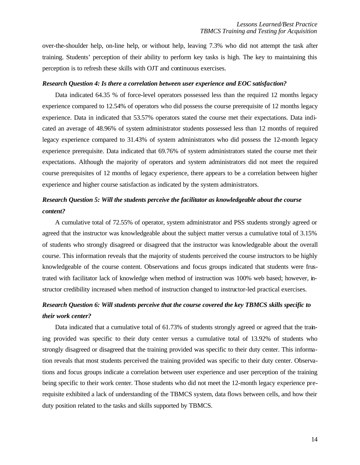over-the-shoulder help, on-line help, or without help, leaving 7.3% who did not attempt the task after training. Students' perception of their ability to perform key tasks is high. The key to maintaining this perception is to refresh these skills with OJT and continuous exercises.

#### *Research Question 4: Is there a correlation between user experience and EOC satisfaction?*

Data indicated 64.35 % of force-level operators possessed less than the required 12 months legacy experience compared to 12.54% of operators who did possess the course prerequisite of 12 months legacy experience. Data in indicated that 53.57% operators stated the course met their expectations. Data indicated an average of 48.96% of system administrator students possessed less than 12 months of required legacy experience compared to 31.43% of system administrators who did possess the 12-month legacy experience prerequisite. Data indicated that 69.76% of system administrators stated the course met their expectations. Although the majority of operators and system administrators did not meet the required course prerequisites of 12 months of legacy experience, there appears to be a correlation between higher experience and higher course satisfaction as indicated by the system administrators.

# *Research Question 5: Will the students perceive the facilitator as knowledgeable about the course content?*

A cumulative total of 72.55% of operator, system administrator and PSS students strongly agreed or agreed that the instructor was knowledgeable about the subject matter versus a cumulative total of 3.15% of students who strongly disagreed or disagreed that the instructor was knowledgeable about the overall course. This information reveals that the majority of students perceived the course instructors to be highly knowledgeable of the course content. Observations and focus groups indicated that students were frustrated with facilitator lack of knowledge when method of instruction was 100% web based; however, instructor credibility increased when method of instruction changed to instructor-led practical exercises.

# *Research Question 6: Will students perceive that the course covered the key TBMCS skills specific to their work center?*

Data indicated that a cumulative total of 61.73% of students strongly agreed or agreed that the training provided was specific to their duty center versus a cumulative total of 13.92% of students who strongly disagreed or disagreed that the training provided was specific to their duty center. This information reveals that most students perceived the training provided was specific to their duty center. Observations and focus groups indicate a correlation between user experience and user perception of the training being specific to their work center. Those students who did not meet the 12-month legacy experience prerequisite exhibited a lack of understanding of the TBMCS system, data flows between cells, and how their duty position related to the tasks and skills supported by TBMCS.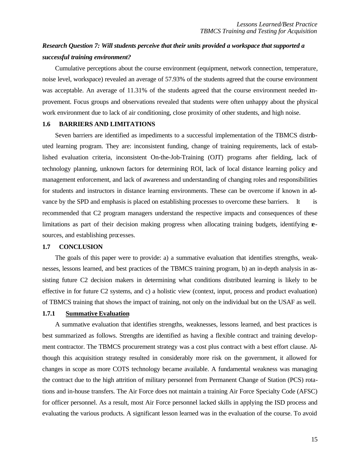# *Research Question 7: Will students perceive that their units provided a workspace that supported a successful training environment?*

Cumulative perceptions about the course environment (equipment, network connection, temperature, noise level, workspace) revealed an average of 57.93% of the students agreed that the course environment was acceptable. An average of 11.31% of the students agreed that the course environment needed improvement. Focus groups and observations revealed that students were often unhappy about the physical work environment due to lack of air conditioning, close proximity of other students, and high noise.

### **1.6 BARRIERS AND LIMITATIONS**

Seven barriers are identified as impediments to a successful implementation of the TBMCS distributed learning program. They are: inconsistent funding, change of training requirements, lack of established evaluation criteria, inconsistent On-the-Job-Training (OJT) programs after fielding, lack of technology planning, unknown factors for determining ROI, lack of local distance learning policy and management enforcement, and lack of awareness and understanding of changing roles and responsibilities for students and instructors in distance learning environments. These can be overcome if known in advance by the SPD and emphasis is placed on establishing processes to overcome these barriers. It is recommended that C2 program managers understand the respective impacts and consequences of these limitations as part of their decision making progress when allocating training budgets, identifying **e**sources, and establishing processes.

### **1.7 CONCLUSION**

The goals of this paper were to provide: a) a summative evaluation that identifies strengths, weaknesses, lessons learned, and best practices of the TBMCS training program, b) an in-depth analysis in assisting future C2 decision makers in determining what conditions distributed learning is likely to be effective in for future C2 systems, and c) a holistic view (context, input, process and product evaluation) of TBMCS training that shows the impact of training, not only on the individual but on the USAF as well.

### **1.7.1 Summative Evaluation**

A summative evaluation that identifies strengths, weaknesses, lessons learned, and best practices is best summarized as follows. Strengths are identified as having a flexible contract and training development contractor. The TBMCS procurement strategy was a cost plus contract with a best effort clause. Although this acquisition strategy resulted in considerably more risk on the government, it allowed for changes in scope as more COTS technology became available. A fundamental weakness was managing the contract due to the high attrition of military personnel from Permanent Change of Station (PCS) rotations and in-house transfers. The Air Force does not maintain a training Air Force Specialty Code (AFSC) for officer personnel. As a result, most Air Force personnel lacked skills in applying the ISD process and evaluating the various products. A significant lesson learned was in the evaluation of the course. To avoid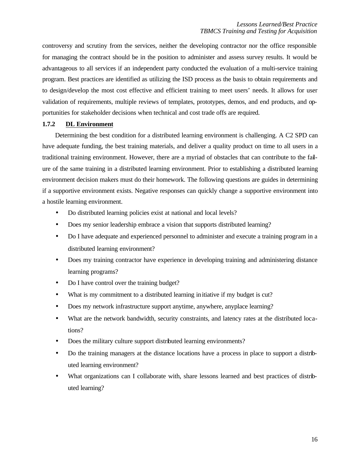controversy and scrutiny from the services, neither the developing contractor nor the office responsible for managing the contract should be in the position to administer and assess survey results. It would be advantageous to all services if an independent party conducted the evaluation of a multi-service training program. Best practices are identified as utilizing the ISD process as the basis to obtain requirements and to design/develop the most cost effective and efficient training to meet users' needs. It allows for user validation of requirements, multiple reviews of templates, prototypes, demos, and end products, and opportunities for stakeholder decisions when technical and cost trade offs are required.

### **1.7.2 DL Environment**

Determining the best condition for a distributed learning environment is challenging. A C2 SPD can have adequate funding, the best training materials, and deliver a quality product on time to all users in a traditional training environment. However, there are a myriad of obstacles that can contribute to the failure of the same training in a distributed learning environment. Prior to establishing a distributed learning environment decision makers must do their homework. The following questions are guides in determining if a supportive environment exists. Negative responses can quickly change a supportive environment into a hostile learning environment.

- Do distributed learning policies exist at national and local levels?
- Does my senior leadership embrace a vision that supports distributed learning?
- Do I have adequate and experienced personnel to administer and execute a training program in a distributed learning environment?
- Does my training contractor have experience in developing training and administering distance learning programs?
- Do I have control over the training budget?
- What is my commitment to a distributed learning in itiative if my budget is cut?
- Does my network infrastructure support anytime, anywhere, anyplace learning?
- What are the network bandwidth, security constraints, and latency rates at the distributed locations?
- Does the military culture support distributed learning environments?
- Do the training managers at the distance locations have a process in place to support a distributed learning environment?
- What organizations can I collaborate with, share lessons learned and best practices of distributed learning?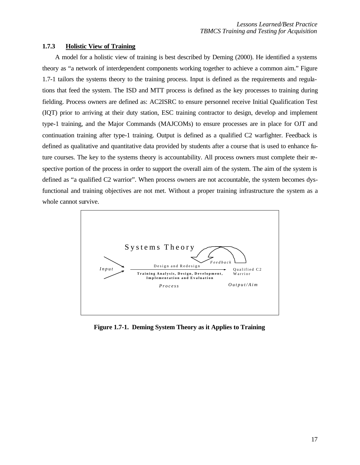### **1.7.3 Holistic View of Training**

A model for a holistic view of training is best described by Deming (2000). He identified a systems theory as "a network of interdependent components working together to achieve a common aim." Figure 1.7-1 tailors the systems theory to the training process. Input is defined as the requirements and regulations that feed the system. The ISD and MTT process is defined as the key processes to training during fielding. Process owners are defined as: AC2ISRC to ensure personnel receive Initial Qualification Test (IQT) prior to arriving at their duty station, ESC training contractor to design, develop and implement type-1 training, and the Major Commands (MAJCOMs) to ensure processes are in place for OJT and continuation training after type-1 training. Output is defined as a qualified C2 warfighter. Feedback is defined as qualitative and quantitative data provided by students after a course that is used to enhance future courses. The key to the systems theory is accountability. All process owners must complete their respective portion of the process in order to support the overall aim of the system. The aim of the system is defined as "a qualified C2 warrior". When process owners are not accountable, the system becomes dysfunctional and training objectives are not met. Without a proper training infrastructure the system as a whole cannot survive.



**Figure 1.7-1. Deming System Theory as it Applies to Training**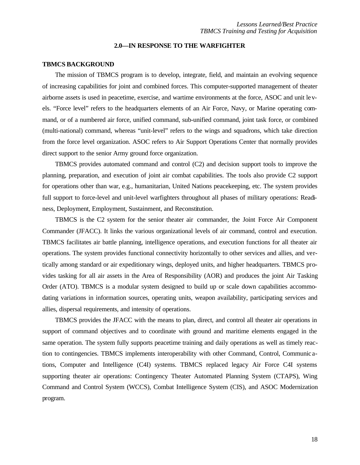### **2.0—IN RESPONSE TO THE WARFIGHTER**

### **TBMCS BACKGROUND**

The mission of TBMCS program is to develop, integrate, field, and maintain an evolving sequence of increasing capabilities for joint and combined forces. This computer-supported management of theater airborne assets is used in peacetime, exercise, and wartime environments at the force, ASOC and unit levels. "Force level" refers to the headquarters elements of an Air Force, Navy, or Marine operating command, or of a numbered air force, unified command, sub-unified command, joint task force, or combined (multi-national) command, whereas "unit-level" refers to the wings and squadrons, which take direction from the force level organization. ASOC refers to Air Support Operations Center that normally provides direct support to the senior Army ground force organization.

TBMCS provides automated command and control (C2) and decision support tools to improve the planning, preparation, and execution of joint air combat capabilities. The tools also provide C2 support for operations other than war, e.g., humanitarian, United Nations peacekeeping, etc. The system provides full support to force-level and unit-level warfighters throughout all phases of military operations: Readiness, Deployment, Employment, Sustainment, and Reconstitution.

TBMCS is the C2 system for the senior theater air commander, the Joint Force Air Component Commander (JFACC). It links the various organizational levels of air command, control and execution. TBMCS facilitates air battle planning, intelligence operations, and execution functions for all theater air operations. The system provides functional connectivity horizontally to other services and allies, and vertically among standard or air expeditionary wings, deployed units, and higher headquarters. TBMCS provides tasking for all air assets in the Area of Responsibility (AOR) and produces the joint Air Tasking Order (ATO). TBMCS is a modular system designed to build up or scale down capabilities accommodating variations in information sources, operating units, weapon availability, participating services and allies, dispersal requirements, and intensity of operations.

TBMCS provides the JFACC with the means to plan, direct, and control all theater air operations in support of command objectives and to coordinate with ground and maritime elements engaged in the same operation. The system fully supports peacetime training and daily operations as well as timely reaction to contingencies. TBMCS implements interoperability with other Command, Control, Communic ations, Computer and Intelligence (C4I) systems. TBMCS replaced legacy Air Force C4I systems supporting theater air operations: Contingency Theater Automated Planning System (CTAPS), Wing Command and Control System (WCCS), Combat Intelligence System (CIS), and ASOC Modernization program.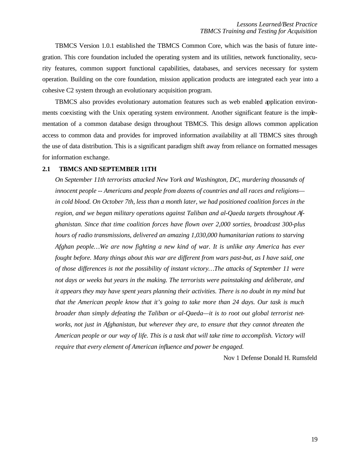TBMCS Version 1.0.1 established the TBMCS Common Core, which was the basis of future integration. This core foundation included the operating system and its utilities, network functionality, security features, common support functional capabilities, databases, and services necessary for system operation. Building on the core foundation, mission application products are integrated each year into a cohesive C2 system through an evolutionary acquisition program.

TBMCS also provides evolutionary automation features such as web enabled application environments coexisting with the Unix operating system environment. Another significant feature is the implementation of a common database design throughout TBMCS. This design allows common application access to common data and provides for improved information availability at all TBMCS sites through the use of data distribution. This is a significant paradigm shift away from reliance on formatted messages for information exchange.

### **2.1 TBMCS AND SEPTEMBER 11TH**

*On September 11th terrorists attacked New York and Washington, DC, murdering thousands of innocent people -- Americans and people from dozens of countries and all races and religions in cold blood. On October 7th, less than a month later, we had positioned coalition forces in the region, and we began military operations against Taliban and al-Qaeda targets throughout Afghanistan. Since that time coalition forces have flown over 2,000 sorties, broadcast 300-plus hours of radio transmissions, delivered an amazing 1,030,000 humanitarian rations to starving Afghan people…We are now fighting a new kind of war. It is unlike any America has ever fought before. Many things about this war are different from wars past-but, as I have said, one of those differences is not the possibility of instant victory…The attacks of September 11 were not days or weeks but years in the making. The terrorists were painstaking and deliberate, and it appears they may have spent years planning their activities. There is no doubt in my mind but that the American people know that it's going to take more than 24 days. Our task is much broader than simply defeating the Taliban or al-Qaeda—it is to root out global terrorist networks, not just in Afghanistan, but wherever they are, to ensure that they cannot threaten the American people or our way of life. This is a task that will take time to accomplish. Victory will require that every element of American influence and power be engaged.*

Nov 1 Defense Donald H. Rumsfeld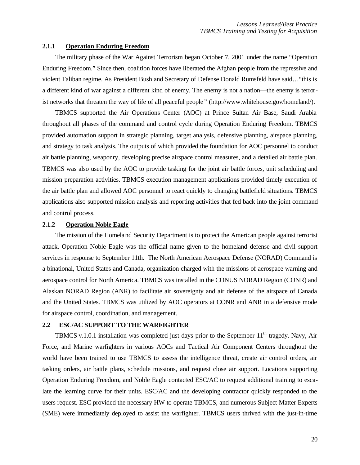#### **2.1.1 Operation Enduring Freedom**

The military phase of the War Against Terrorism began October 7, 2001 under the name "Operation Enduring Freedom." Since then, coalition forces have liberated the Afghan people from the repressive and violent Taliban regime. As President Bush and Secretary of Defense Donald Rumsfeld have said…"this is a different kind of war against a different kind of enemy. The enemy is not a nation—the enemy is terrorist networks that threaten the way of life of all peaceful people " (http://www.whitehouse.gov/homeland/).

TBMCS supported the Air Operations Center (AOC) at Prince Sultan Air Base, Saudi Arabia throughout all phases of the command and control cycle during Operation Enduring Freedom. TBMCS provided automation support in strategic planning, target analysis, defensive planning, airspace planning, and strategy to task analysis. The outputs of which provided the foundation for AOC personnel to conduct air battle planning, weaponry, developing precise airspace control measures, and a detailed air battle plan. TBMCS was also used by the AOC to provide tasking for the joint air battle forces, unit scheduling and mission preparation activities. TBMCS execution management applications provided timely execution of the air battle plan and allowed AOC personnel to react quickly to changing battlefield situations. TBMCS applications also supported mission analysis and reporting activities that fed back into the joint command and control process.

### **2.1.2 Operation Noble Eagle**

The mission of the Homeland Security Department is to protect the American people against terrorist attack. Operation Noble Eagle was the official name given to the homeland defense and civil support services in response to September 11th. The North American Aerospace Defense (NORAD) Command is a binational, United States and Canada, organization charged with the missions of aerospace warning and aerospace control for North America. TBMCS was installed in the CONUS NORAD Region (CONR) and Alaskan NORAD Region (ANR) to facilitate air sovereignty and air defense of the airspace of Canada and the United States. TBMCS was utilized by AOC operators at CONR and ANR in a defensive mode for airspace control, coordination, and management.

### **2.2 ESC/AC SUPPORT TO THE WARFIGHTER**

TBMCS v.1.0.1 installation was completed just days prior to the September  $11<sup>th</sup>$  tragedy. Navy, Air Force, and Marine warfighters in various AOCs and Tactical Air Component Centers throughout the world have been trained to use TBMCS to assess the intelligence threat, create air control orders, air tasking orders, air battle plans, schedule missions, and request close air support. Locations supporting Operation Enduring Freedom, and Noble Eagle contacted ESC/AC to request additional training to escalate the learning curve for their units. ESC/AC and the developing contractor quickly responded to the users request. ESC provided the necessary HW to operate TBMCS, and numerous Subject Matter Experts (SME) were immediately deployed to assist the warfighter. TBMCS users thrived with the just-in-time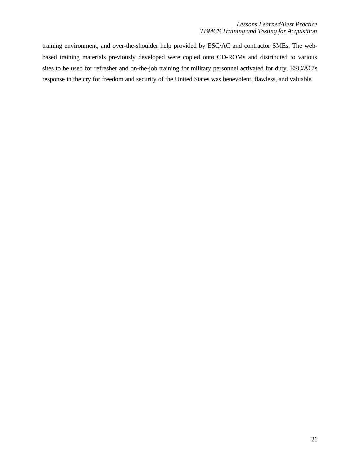training environment, and over-the-shoulder help provided by ESC/AC and contractor SMEs. The webbased training materials previously developed were copied onto CD-ROMs and distributed to various sites to be used for refresher and on-the-job training for military personnel activated for duty. ESC/AC's response in the cry for freedom and security of the United States was benevolent, flawless, and valuable.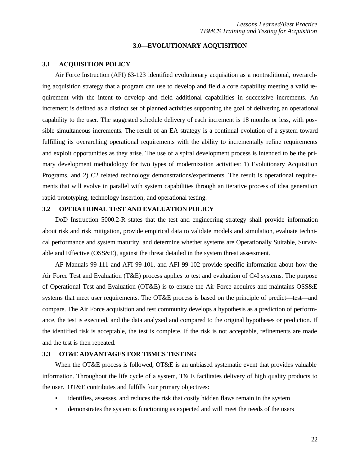### **3.0—EVOLUTIONARY ACQUISITION**

### **3.1 ACQUISITION POLICY**

Air Force Instruction (AFI) 63-123 identified evolutionary acquisition as a nontraditional, overarching acquisition strategy that a program can use to develop and field a core capability meeting a valid requirement with the intent to develop and field additional capabilities in successive increments. An increment is defined as a distinct set of planned activities supporting the goal of delivering an operational capability to the user. The suggested schedule delivery of each increment is 18 months or less, with possible simultaneous increments. The result of an EA strategy is a continual evolution of a system toward fulfilling its overarching operational requirements with the ability to incrementally refine requirements and exploit opportunities as they arise. The use of a spiral development process is intended to be the primary development methodology for two types of modernization activities: 1) Evolutionary Acquisition Programs, and 2) C2 related technology demonstrations/experiments. The result is operational requirements that will evolve in parallel with system capabilities through an iterative process of idea generation rapid prototyping, technology insertion, and operational testing.

#### **3.2 OPERATIONAL TEST AND EVALUATION POLICY**

DoD Instruction 5000.2-R states that the test and engineering strategy shall provide information about risk and risk mitigation, provide empirical data to validate models and simulation, evaluate technical performance and system maturity, and determine whether systems are Operationally Suitable, Survivable and Effective (OSS&E), against the threat detailed in the system threat assessment.

AF Manuals 99-111 and AFI 99-101, and AFI 99-102 provide specific information about how the Air Force Test and Evaluation (T&E) process applies to test and evaluation of C4I systems. The purpose of Operational Test and Evaluation (OT&E) is to ensure the Air Force acquires and maintains OSS&E systems that meet user requirements. The OT&E process is based on the principle of predict—test—and compare. The Air Force acquisition and test community develops a hypothesis as a prediction of performance, the test is executed, and the data analyzed and compared to the original hypotheses or prediction. If the identified risk is acceptable, the test is complete. If the risk is not acceptable, refinements are made and the test is then repeated.

### **3.3 OT&E ADVANTAGES FOR TBMCS TESTING**

When the OT&E process is followed, OT&E is an unbiased systematic event that provides valuable information. Throughout the life cycle of a system, T& E facilitates delivery of high quality products to the user. OT&E contributes and fulfills four primary objectives:

- identifies, assesses, and reduces the risk that costly hidden flaws remain in the system
- demonstrates the system is functioning as expected and will meet the needs of the users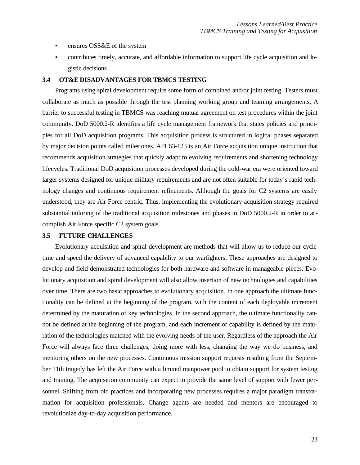- ensures OSS&E of the system
- contributes timely, accurate, and affordable information to support life cycle acquisition and logistic decisions

#### **3.4 OT&E DISADVANTAGES FOR TBMCS TESTING**

Programs using spiral development require some form of combined and/or joint testing. Testers must collaborate as much as possible through the test planning working group and teaming arrangements. A barrier to successful testing in TBMCS was reaching mutual agreement on test procedures within the joint community. DoD 5000.2-R identifies a life cycle management framework that states policies and principles for all DoD acquisition programs. This acquisition process is structured in logical phases separated by major decision points called milestones. AFI 63-123 is an Air Force acquisition unique instruction that recommends acquisition strategies that quickly adapt to evolving requirements and shortening technology lifecycles. Traditional DoD acquisition processes developed during the cold-war era were oriented toward larger systems designed for unique military requirements and are not often suitable for today's rapid technology changes and continuous requirement refinements. Although the goals for C2 systems are easily understood, they are Air Force centric. Thus, implementing the evolutionary acquisition strategy required substantial tailoring of the traditional acquisition milestones and phases in DoD 5000.2-R in order to accomplish Air Force specific C2 system goals.

#### **3.5 FUTURE CHALLENGES**

Evolutionary acquisition and spiral development are methods that will allow us to reduce our cycle time and speed the delivery of advanced capability to our warfighters. These approaches are designed to develop and field demonstrated technologies for both hardware and software in manageable pieces. Evolutionary acquisition and spiral development will also allow insertion of new technologies and capabilities over time. There are two basic approaches to evolutionary acquisition. In one approach the ultimate functionality can be defined at the beginning of the program, with the content of each deployable increment determined by the maturation of key technologies. In the second approach, the ultimate functionality cannot be defined at the beginning of the program, and each increment of capability is defined by the maturation of the technologies matched with the evolving needs of the user. Regardless of the approach the Air Force will always face three challenges; doing more with less, changing the way we do business, and mentoring others on the new processes. Continuous mission support requests resulting from the September 11th tragedy has left the Air Force with a limited manpower pool to obtain support for system testing and training. The acquisition community can expect to provide the same level of support with fewer personnel. Shifting from old practices and incorporating new processes requires a major paradigm transformation for acquisition professionals. Change agents are needed and mentors are encouraged to revolutionize day-to-day acquisition performance.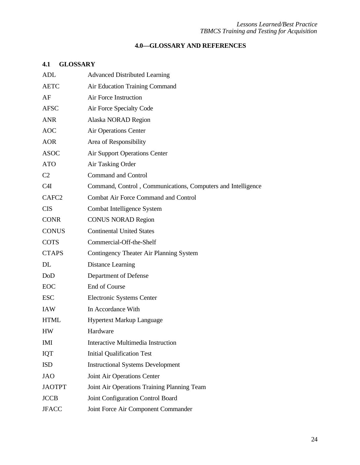### *Lessons Learned/Best Practice TBMCS Training and Testing for Acquisition*

# **4.0—GLOSSARY AND REFERENCES**

# **4.1 GLOSSARY**

| ADL               | <b>Advanced Distributed Learning</b>                         |
|-------------------|--------------------------------------------------------------|
| <b>AETC</b>       | Air Education Training Command                               |
| AF                | Air Force Instruction                                        |
| <b>AFSC</b>       | Air Force Specialty Code                                     |
| <b>ANR</b>        | Alaska NORAD Region                                          |
| <b>AOC</b>        | <b>Air Operations Center</b>                                 |
| <b>AOR</b>        | Area of Responsibility                                       |
| <b>ASOC</b>       | <b>Air Support Operations Center</b>                         |
| <b>ATO</b>        | Air Tasking Order                                            |
| C <sub>2</sub>    | <b>Command and Control</b>                                   |
| C4I               | Command, Control, Communications, Computers and Intelligence |
| CAFC <sub>2</sub> | <b>Combat Air Force Command and Control</b>                  |
| <b>CIS</b>        | Combat Intelligence System                                   |
| <b>CONR</b>       | <b>CONUS NORAD Region</b>                                    |
| <b>CONUS</b>      | <b>Continental United States</b>                             |
| <b>COTS</b>       | Commercial-Off-the-Shelf                                     |
| <b>CTAPS</b>      | Contingency Theater Air Planning System                      |
| DL                | <b>Distance Learning</b>                                     |
| DoD               | Department of Defense                                        |
| <b>EOC</b>        | End of Course                                                |
| <b>ESC</b>        | Electronic Systems Center                                    |
| <b>IAW</b>        | In Accordance With                                           |
| <b>HTML</b>       | <b>Hypertext Markup Language</b>                             |
| HW                | Hardware                                                     |
| <b>IMI</b>        | Interactive Multimedia Instruction                           |
| IQT               | <b>Initial Qualification Test</b>                            |
| <b>ISD</b>        | <b>Instructional Systems Development</b>                     |
| <b>JAO</b>        | Joint Air Operations Center                                  |
| <b>JAOTPT</b>     | Joint Air Operations Training Planning Team                  |
| <b>JCCB</b>       | Joint Configuration Control Board                            |
| <b>JFACC</b>      | Joint Force Air Component Commander                          |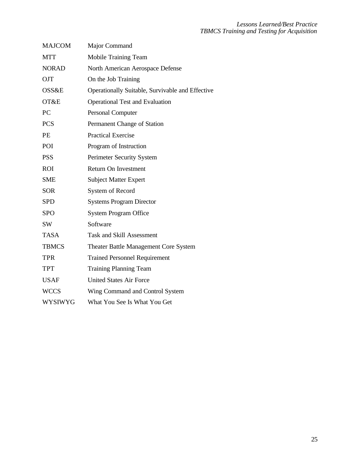| <b>MAJCOM</b>    | Major Command                                    |
|------------------|--------------------------------------------------|
| <b>MTT</b>       | Mobile Training Team                             |
| <b>NORAD</b>     | North American Aerospace Defense                 |
| <b>OJT</b>       | On the Job Training                              |
| <b>OSS&amp;E</b> | Operationally Suitable, Survivable and Effective |
| OT&E             | <b>Operational Test and Evaluation</b>           |
| PC               | Personal Computer                                |
| <b>PCS</b>       | Permanent Change of Station                      |
| <b>PE</b>        | <b>Practical Exercise</b>                        |
| POI              | Program of Instruction                           |
| <b>PSS</b>       | Perimeter Security System                        |
| <b>ROI</b>       | Return On Investment                             |
| <b>SME</b>       | <b>Subject Matter Expert</b>                     |
| <b>SOR</b>       | System of Record                                 |
| <b>SPD</b>       | <b>Systems Program Director</b>                  |
| <b>SPO</b>       | <b>System Program Office</b>                     |
| <b>SW</b>        | Software                                         |
| <b>TASA</b>      | <b>Task and Skill Assessment</b>                 |
| <b>TBMCS</b>     | Theater Battle Management Core System            |
| <b>TPR</b>       | <b>Trained Personnel Requirement</b>             |
| <b>TPT</b>       | <b>Training Planning Team</b>                    |
| <b>USAF</b>      | <b>United States Air Force</b>                   |
| <b>WCCS</b>      | Wing Command and Control System                  |
| WYSIWYG          | What You See Is What You Get                     |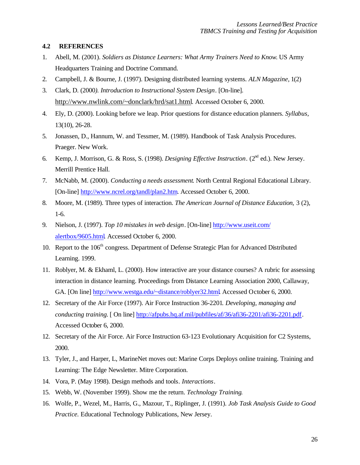### **4.2 REFERENCES**

- 1. Abell, M. (2001). *Soldiers as Distance Learners: What Army Trainers Need to Know*. US Army Headquarters Training and Doctrine Command.
- 2. Campbell, J. & Bourne, J. (1997). Designing distributed learning systems. *ALN Magazine,* 1(2)
- 3. Clark, D. (2000*). Introduction to Instructional System Design*. [On-line]. http://www.nwlink.com/~donclark/hrd/sat1.html. Accessed October 6, 2000.
- 4. Ely, D. (2000). Looking before we leap. Prior questions for distance education planners. *Syllabus,* 13(10), 26-28.
- 5. Jonassen, D., Hannum, W. and Tessmer, M. (1989). Handbook of Task Analysis Procedures. Praeger. New Work.
- 6. Kemp, J. Morrison, G. & Ross, S. (1998). *Designing Effective Instruction*. (2nd ed.). New Jersey. Merrill Prentice Hall.
- 7. McNabb, M. (2000). *Conducting a needs assessment*. North Central Regional Educational Library. [On-line] http://www.ncrel.org/tandl/plan2.htm. Accessed October 6, 2000.
- 8. Moore, M. (1989). Three types of interaction. *The American Journal of Distance Education,* 3 (2), 1-6.
- 9. Nielson, J. (1997). *Top 10 mistakes in web design*. [On-line] http://www.useit.com/ alertbox/9605.html. Accessed October 6, 2000.
- 10. Report to the 106<sup>th</sup> congress. Department of Defense Strategic Plan for Advanced Distributed Learning. 1999.
- 11. Roblyer, M. & Ekhaml, L. (2000). How interactive are your distance courses? A rubric for assessing interaction in distance learning. Proceedings from Distance Learning Association 2000, Callaway, GA. [On line] http://www.westga.edu/~distance/roblyer32.html. Accessed October 6, 2000.
- 12. Secretary of the Air Force (1997). Air Force Instruction 36-2201*. Developing, managing and conducting training.* [ On line] http://afpubs.hq.af.mil/pubfiles/af/36/afi36-2201/afi36-2201.pdf. Accessed October 6, 2000.
- 12. Secretary of the Air Force. Air Force Instruction 63-123 Evolutionary Acquisition for C2 Systems, 2000.
- 13. Tyler, J., and Harper, L, MarineNet moves out: Marine Corps Deploys online training. Training and Learning: The Edge Newsletter. Mitre Corporation.
- 14. Vora, P. (May 1998). Design methods and tools*. Interactions*.
- 15. Webb, W. (November 1999). Show me the return. *Technology Training*.
- 16. Wolfe, P., Wezel, M., Harris, G., Mazour, T., Riplinger, J. (1991). *Job Task Analysis Guide to Good Practice.* Educational Technology Publications, New Jersey.